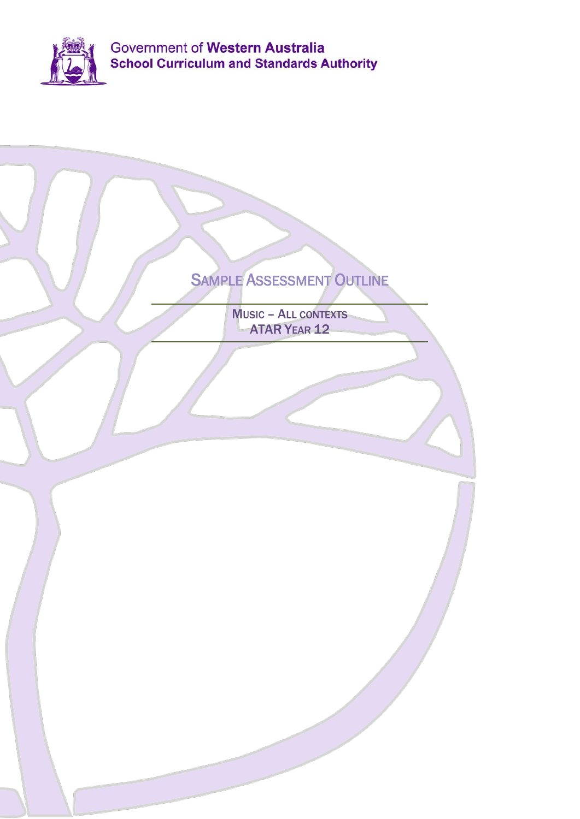

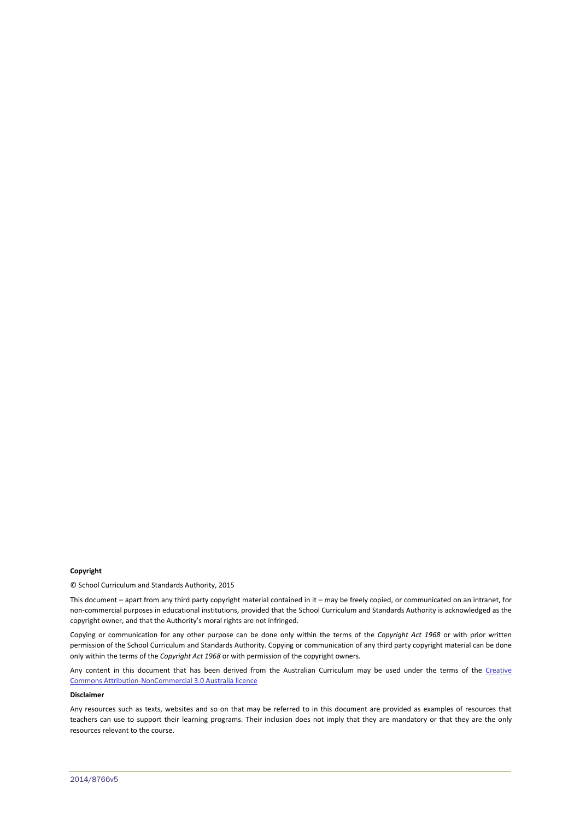#### **Copyright**

© School Curriculum and Standards Authority, 2015

This document – apart from any third party copyright material contained in it – may be freely copied, or communicated on an intranet, for non-commercial purposes in educational institutions, provided that the School Curriculum and Standards Authority is acknowledged as the copyright owner, and that the Authority's moral rights are not infringed.

Copying or communication for any other purpose can be done only within the terms of the *Copyright Act 1968* or with prior written permission of the School Curriculum and Standards Authority. Copying or communication of any third party copyright material can be done only within the terms of the *Copyright Act 1968* or with permission of the copyright owners.

Any content in this document that has been derived from the Australian Curriculum may be used under the terms of the Creative [Commons Attribution-NonCommercial 3.0 Australia licence](http://creativecommons.org/licenses/by-nc/3.0/au/)

#### **Disclaimer**

Any resources such as texts, websites and so on that may be referred to in this document are provided as examples of resources that teachers can use to support their learning programs. Their inclusion does not imply that they are mandatory or that they are the only resources relevant to the course.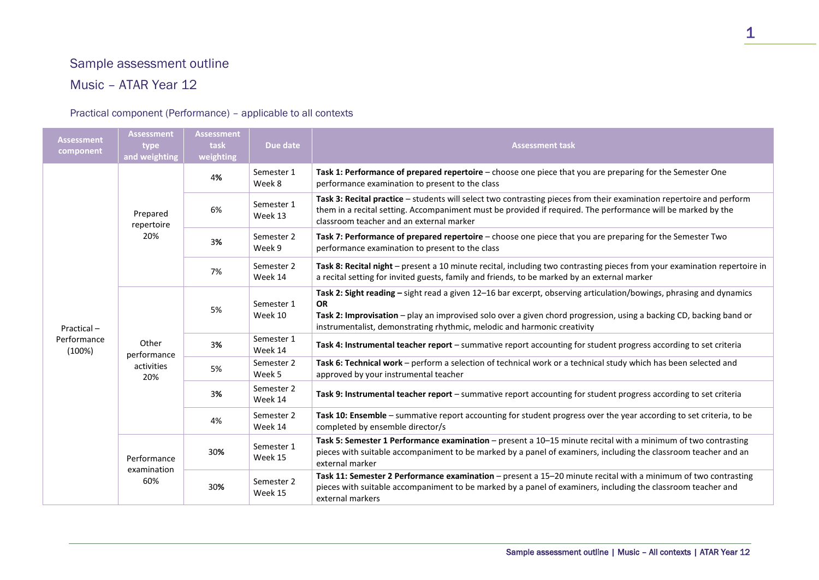# Sample assessment outline

## Music – ATAR Year 12

### Practical component (Performance) – applicable to all contexts

| <b>Assessment</b><br>component      | <b>Assessment</b><br>type<br>and weighting | <b>Assessment</b><br>task<br>weighting | Due date              | <b>Assessment task</b>                                                                                                                                                                                                                                                                                                              |
|-------------------------------------|--------------------------------------------|----------------------------------------|-----------------------|-------------------------------------------------------------------------------------------------------------------------------------------------------------------------------------------------------------------------------------------------------------------------------------------------------------------------------------|
| Practical-<br>Performance<br>(100%) | Prepared<br>repertoire<br>20%              | 4%                                     | Semester 1<br>Week 8  | Task 1: Performance of prepared repertoire - choose one piece that you are preparing for the Semester One<br>performance examination to present to the class                                                                                                                                                                        |
|                                     |                                            | 6%                                     | Semester 1<br>Week 13 | Task 3: Recital practice - students will select two contrasting pieces from their examination repertoire and perform<br>them in a recital setting. Accompaniment must be provided if required. The performance will be marked by the<br>classroom teacher and an external marker                                                    |
|                                     |                                            | 3%                                     | Semester 2<br>Week 9  | Task 7: Performance of prepared repertoire - choose one piece that you are preparing for the Semester Two<br>performance examination to present to the class                                                                                                                                                                        |
|                                     |                                            | 7%                                     | Semester 2<br>Week 14 | Task 8: Recital night - present a 10 minute recital, including two contrasting pieces from your examination repertoire in<br>a recital setting for invited guests, family and friends, to be marked by an external marker                                                                                                           |
|                                     | Other<br>performance<br>activities<br>20%  | 5%                                     | Semester 1<br>Week 10 | Task 2: Sight reading - sight read a given 12-16 bar excerpt, observing articulation/bowings, phrasing and dynamics<br><b>OR</b><br>Task 2: Improvisation - play an improvised solo over a given chord progression, using a backing CD, backing band or<br>instrumentalist, demonstrating rhythmic, melodic and harmonic creativity |
|                                     |                                            | 3%                                     | Semester 1<br>Week 14 | Task 4: Instrumental teacher report - summative report accounting for student progress according to set criteria                                                                                                                                                                                                                    |
|                                     |                                            | 5%                                     | Semester 2<br>Week 5  | Task 6: Technical work - perform a selection of technical work or a technical study which has been selected and<br>approved by your instrumental teacher                                                                                                                                                                            |
|                                     |                                            | 3%                                     | Semester 2<br>Week 14 | Task 9: Instrumental teacher report - summative report accounting for student progress according to set criteria                                                                                                                                                                                                                    |
|                                     |                                            | 4%                                     | Semester 2<br>Week 14 | Task 10: Ensemble - summative report accounting for student progress over the year according to set criteria, to be<br>completed by ensemble director/s                                                                                                                                                                             |
|                                     | Performance<br>examination<br>60%          | 30%                                    | Semester 1<br>Week 15 | Task 5: Semester 1 Performance examination - present a 10-15 minute recital with a minimum of two contrasting<br>pieces with suitable accompaniment to be marked by a panel of examiners, including the classroom teacher and an<br>external marker                                                                                 |
|                                     |                                            | 30%                                    | Semester 2<br>Week 15 | Task 11: Semester 2 Performance examination - present a 15-20 minute recital with a minimum of two contrasting<br>pieces with suitable accompaniment to be marked by a panel of examiners, including the classroom teacher and<br>external markers                                                                                  |

1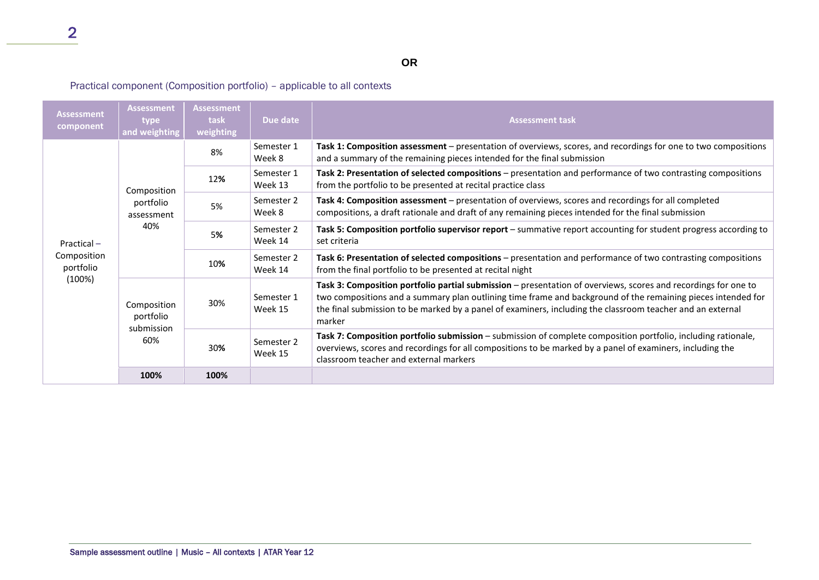## **OR**

### Practical component (Composition portfolio) – applicable to all contexts

| <b>Assessment</b><br>component                      | <b>Assessment</b><br>type<br>and weighting    | <b>Assessment</b><br>task<br>weighting | Due date              | <b>Assessment task</b>                                                                                                                                                                                                                                                                                                                                 |
|-----------------------------------------------------|-----------------------------------------------|----------------------------------------|-----------------------|--------------------------------------------------------------------------------------------------------------------------------------------------------------------------------------------------------------------------------------------------------------------------------------------------------------------------------------------------------|
| Practical $-$<br>Composition<br>portfolio<br>(100%) | Composition<br>portfolio<br>assessment<br>40% | 8%                                     | Semester 1<br>Week 8  | Task 1: Composition assessment - presentation of overviews, scores, and recordings for one to two compositions<br>and a summary of the remaining pieces intended for the final submission                                                                                                                                                              |
|                                                     |                                               | 12%                                    | Semester 1<br>Week 13 | Task 2: Presentation of selected compositions - presentation and performance of two contrasting compositions<br>from the portfolio to be presented at recital practice class                                                                                                                                                                           |
|                                                     |                                               | 5%                                     | Semester 2<br>Week 8  | Task 4: Composition assessment - presentation of overviews, scores and recordings for all completed<br>compositions, a draft rationale and draft of any remaining pieces intended for the final submission                                                                                                                                             |
|                                                     |                                               | 5%                                     | Semester 2<br>Week 14 | Task 5: Composition portfolio supervisor report – summative report accounting for student progress according to<br>set criteria                                                                                                                                                                                                                        |
|                                                     |                                               | 10%                                    | Semester 2<br>Week 14 | Task 6: Presentation of selected compositions – presentation and performance of two contrasting compositions<br>from the final portfolio to be presented at recital night                                                                                                                                                                              |
|                                                     | Composition<br>portfolio<br>submission<br>60% | 30%                                    | Semester 1<br>Week 15 | Task 3: Composition portfolio partial submission - presentation of overviews, scores and recordings for one to<br>two compositions and a summary plan outlining time frame and background of the remaining pieces intended for<br>the final submission to be marked by a panel of examiners, including the classroom teacher and an external<br>marker |
|                                                     |                                               | 30%                                    | Semester 2<br>Week 15 | Task 7: Composition portfolio submission - submission of complete composition portfolio, including rationale,<br>overviews, scores and recordings for all compositions to be marked by a panel of examiners, including the<br>classroom teacher and external markers                                                                                   |
|                                                     | 100%                                          | 100%                                   |                       |                                                                                                                                                                                                                                                                                                                                                        |